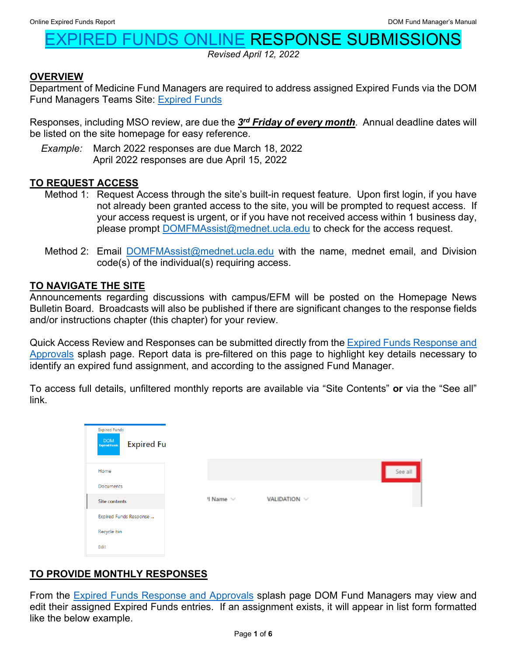# **JNDS ONLINE RESPONSE SUBMISSIONS**

*Revised April 12, 2022*

### **OVERVIEW**

Department of Medicine Fund Managers are required to address assigned Expired Funds via the DOM Fund Managers Teams Site: [Expired Funds](https://uclahs.sharepoint.com/sites/DOMFundManagers/ExpiredFunds/)

Responses, including MSO review, are due the *3rd Friday of every month*. Annual deadline dates will be listed on the site homepage for easy reference.

*Example:* March 2022 responses are due March 18, 2022 April 2022 responses are due April 15, 2022

### **TO REQUEST ACCESS**

- Method 1: Request Access through the site's built-in request feature. Upon first login, if you have not already been granted access to the site, you will be prompted to request access. If your access request is urgent, or if you have not received access within 1 business day, please prompt [DOMFMAssist@mednet.ucla.edu](mailto:DOMFMAssist@mednet.ucla.edu) to check for the access request.
- Method 2: Email [DOMFMAssist@mednet.ucla.edu](mailto:DOMFMAssist@mednet.ucla.edu) with the name, mednet email, and Division code(s) of the individual(s) requiring access.

#### **TO NAVIGATE THE SITE**

Announcements regarding discussions with campus/EFM will be posted on the Homepage News Bulletin Board. Broadcasts will also be published if there are significant changes to the response fields and/or instructions chapter (this chapter) for your review.

Quick Access Review and Responses can be submitted directly from the **Expired Funds Response and** [Approvals](https://uclahs.sharepoint.com/sites/DOMFundManagers/ExpiredFunds/SitePages/Expired-Funds-Response-and-Approvals.aspx) splash page. Report data is pre-filtered on this page to highlight key details necessary to identify an expired fund assignment, and according to the assigned Fund Manager.

To access full details, unfiltered monthly reports are available via "Site Contents" **or** via the "See all" link.

| <b>Expired Funds</b><br>$\frac{\mbox{DOM}}{\mbox{Implus}}$<br><b>Expired Fu</b> |          |              |         |
|---------------------------------------------------------------------------------|----------|--------------|---------|
| Home                                                                            |          |              | See all |
| <b>Documents</b>                                                                |          |              |         |
| <b>Site contents</b>                                                            | I Name V | VALIDATION V |         |
| Expired Funds Response                                                          |          |              |         |
| Recycle bin                                                                     |          |              |         |
| Edit                                                                            |          |              |         |

# **TO PROVIDE MONTHLY RESPONSES**

From the [Expired Funds Response and Approvals](https://uclahs.sharepoint.com/sites/DOMFundManagers/ExpiredFunds/SitePages/Expired-Funds-Response-and-Approvals.aspx) splash page DOM Fund Managers may view and edit their assigned Expired Funds entries. If an assignment exists, it will appear in list form formatted like the below example.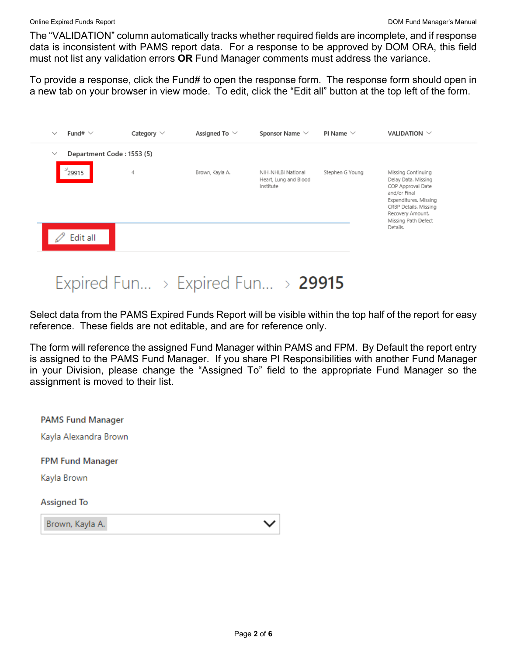The "VALIDATION" column automatically tracks whether required fields are incomplete, and if response data is inconsistent with PAMS report data. For a response to be approved by DOM ORA, this field must not list any validation errors **OR** Fund Manager comments must address the variance.

To provide a response, click the Fund# to open the response form. The response form should open in a new tab on your browser in view mode. To edit, click the "Edit all" button at the top left of the form.

| $\checkmark$ | Fund# $\vee$              | Category $\vee$ | Assigned To $\vee$ | Sponsor Name $\vee$                                      | PI Name $\vee$  | VALIDATION $\vee$                                                                                                                                                           |
|--------------|---------------------------|-----------------|--------------------|----------------------------------------------------------|-----------------|-----------------------------------------------------------------------------------------------------------------------------------------------------------------------------|
| $\checkmark$ | Department Code: 1553 (5) |                 |                    |                                                          |                 |                                                                                                                                                                             |
|              | $^{3}$ 29915              | 4               | Brown, Kayla A.    | NIH-NHLBI National<br>Heart, Lung and Blood<br>Institute | Stephen G Young | Missing Continuing<br>Delay Data. Missing<br>COP Approval Date<br>and/or Final<br>Expenditures. Missing<br>CRBP Details. Missing<br>Recovery Amount.<br>Missing Path Defect |
|              | Edit all                  |                 |                    |                                                          |                 | Details.                                                                                                                                                                    |

# Expired Fun... > Expired Fun... > 29915

Select data from the PAMS Expired Funds Report will be visible within the top half of the report for easy reference. These fields are not editable, and are for reference only.

The form will reference the assigned Fund Manager within PAMS and FPM. By Default the report entry is assigned to the PAMS Fund Manager. If you share PI Responsibilities with another Fund Manager in your Division, please change the "Assigned To" field to the appropriate Fund Manager so the assignment is moved to their list.

| <b>PAMS Fund Manager</b>               |  |
|----------------------------------------|--|
| Kayla Alexandra Brown                  |  |
| <b>FPM Fund Manager</b><br>Kayla Brown |  |
| Assigned To                            |  |
| Brown, Kayla A.                        |  |
|                                        |  |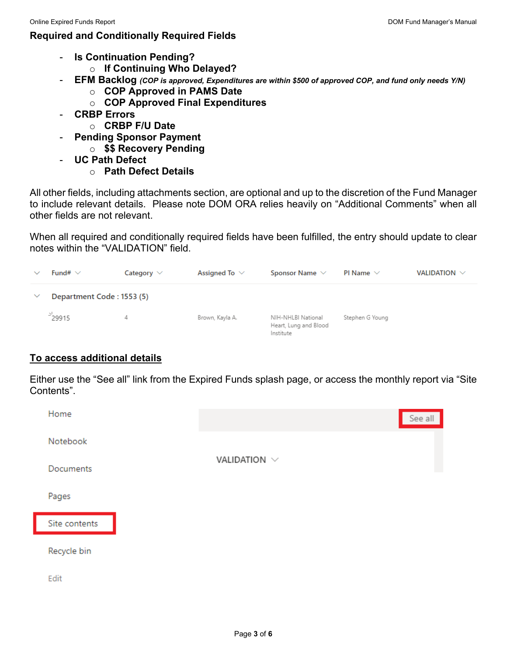## **Required and Conditionally Required Fields**

- **Is Continuation Pending?** 
	- o **If Continuing Who Delayed?**
- **EFM Backlog** *(COP is approved, Expenditures are within \$500 of approved COP, and fund only needs Y/N)*
	- o **COP Approved in PAMS Date**
	- o **COP Approved Final Expenditures**
- **CRBP Errors**
	- o **CRBP F/U Date**
- **Pending Sponsor Payment** 
	- o **\$\$ Recovery Pending**
- **UC Path Defect** 
	- o **Path Defect Details**

All other fields, including attachments section, are optional and up to the discretion of the Fund Manager to include relevant details. Please note DOM ORA relies heavily on "Additional Comments" when all other fields are not relevant.

When all required and conditionally required fields have been fulfilled, the entry should update to clear notes within the "VALIDATION" field.



## **To access additional details**

Either use the "See all" link from the Expired Funds splash page, or access the monthly report via "Site Contents".

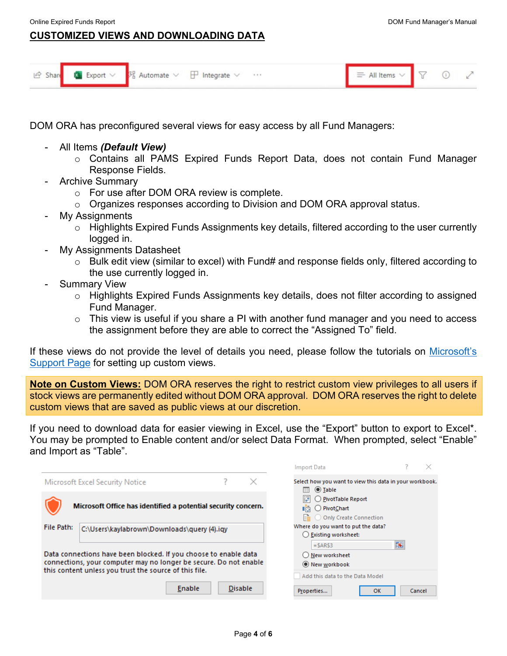$\overline{2}$  $\sim$ 

## **CUSTOMIZED VIEWS AND DOWNLOADING DATA**

| $\mathfrak{S}$ Share | <b>Export</b> $\vee$ $\frac{1}{2}$ Automate $\vee$ | $\Box$<br>$+ + +$<br>Integrate | 一 |  |  |
|----------------------|----------------------------------------------------|--------------------------------|---|--|--|
|                      |                                                    |                                |   |  |  |

DOM ORA has preconfigured several views for easy access by all Fund Managers:

- All Items *(Default View)*
	- o Contains all PAMS Expired Funds Report Data, does not contain Fund Manager Response Fields.
- Archive Summary
	- o For use after DOM ORA review is complete.
	- o Organizes responses according to Division and DOM ORA approval status.
- My Assignments
	- o Highlights Expired Funds Assignments key details, filtered according to the user currently logged in.
- My Assignments Datasheet
	- o Bulk edit view (similar to excel) with Fund# and response fields only, filtered according to the use currently logged in.
- **Summary View** 
	- o Highlights Expired Funds Assignments key details, does not filter according to assigned Fund Manager.
	- $\circ$  This view is useful if you share a PI with another fund manager and you need to access the assignment before they are able to correct the "Assigned To" field.

If these views do not provide the level of details you need, please follow the tutorials on [Microsoft's](https://support.microsoft.com/en-us/office/create-change-or-delete-a-view-of-a-list-or-library-27ae65b8-bc5b-4949-b29b-4ee87144a9c9)  [Support Page](https://support.microsoft.com/en-us/office/create-change-or-delete-a-view-of-a-list-or-library-27ae65b8-bc5b-4949-b29b-4ee87144a9c9) for setting up custom views.

**Note on Custom Views:** DOM ORA reserves the right to restrict custom view privileges to all users if stock views are permanently edited without DOM ORA approval. DOM ORA reserves the right to delete custom views that are saved as public views at our discretion.

If you need to download data for easier viewing in Excel, use the "Export" button to export to Excel\*. You may be prompted to Enable content and/or select Data Format. When prompted, select "Enable" and Import as "Table".

|            |                                                                                                                                                                                                 |                |   | <b>Import Data</b>                                                             |   |        |
|------------|-------------------------------------------------------------------------------------------------------------------------------------------------------------------------------------------------|----------------|---|--------------------------------------------------------------------------------|---|--------|
|            | Microsoft Excel Security Notice                                                                                                                                                                 |                | × | Select how you want to view this data in your workbook.<br><b>◎</b> Table<br>m |   |        |
|            | Microsoft Office has identified a potential security concern.                                                                                                                                   |                |   | PivotTable Report<br>O PivotChart<br>Liā<br>Only Create Connection             |   |        |
| File Path: | C:\Users\kaylabrown\Downloads\query (4).iqy                                                                                                                                                     |                |   | Where do you want to put the data?<br>◯ Existing worksheet:                    |   |        |
|            | Data connections have been blocked. If you choose to enable data<br>connections, your computer may no longer be secure. Do not enable<br>this content unless you trust the source of this file. |                |   | $=$ SARS3<br>New worksheet<br>● New workbook                                   | 嶐 |        |
|            | Enable                                                                                                                                                                                          | <b>Disable</b> |   | Add this data to the Data Model<br>Properties<br><b>OK</b>                     |   | Cancel |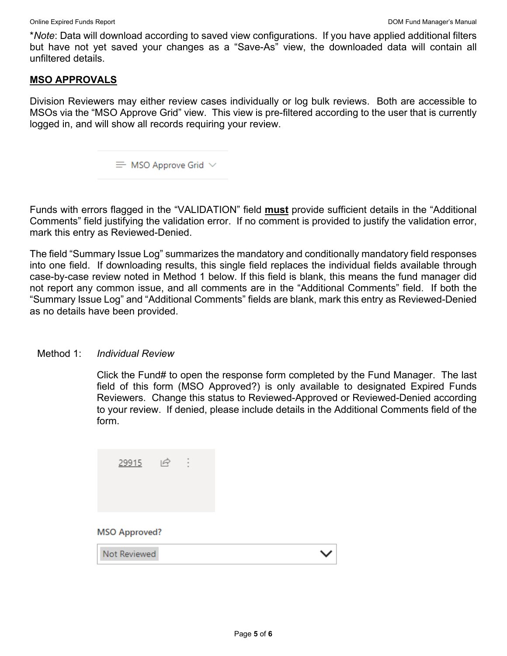\**Note*: Data will download according to saved view configurations. If you have applied additional filters but have not yet saved your changes as a "Save-As" view, the downloaded data will contain all unfiltered details.

#### **MSO APPROVALS**

Division Reviewers may either review cases individually or log bulk reviews. Both are accessible to MSOs via the "MSO Approve Grid" view. This view is pre-filtered according to the user that is currently logged in, and will show all records requiring your review.

 $\equiv$  MSO Approve Grid  $\vee$ 

Funds with errors flagged in the "VALIDATION" field **must** provide sufficient details in the "Additional Comments" field justifying the validation error. If no comment is provided to justify the validation error, mark this entry as Reviewed-Denied.

The field "Summary Issue Log" summarizes the mandatory and conditionally mandatory field responses into one field. If downloading results, this single field replaces the individual fields available through case-by-case review noted in Method 1 below. If this field is blank, this means the fund manager did not report any common issue, and all comments are in the "Additional Comments" field. If both the "Summary Issue Log" and "Additional Comments" fields are blank, mark this entry as Reviewed-Denied as no details have been provided.

#### Method 1: *Individual Review*

Click the Fund# to open the response form completed by the Fund Manager. The last field of this form (MSO Approved?) is only available to designated Expired Funds Reviewers. Change this status to Reviewed-Approved or Reviewed-Denied according to your review. If denied, please include details in the Additional Comments field of the form.

| 29915                                | $\beta$ |  |  |
|--------------------------------------|---------|--|--|
| <b>MSO Approved?</b><br>Not Reviewed |         |  |  |